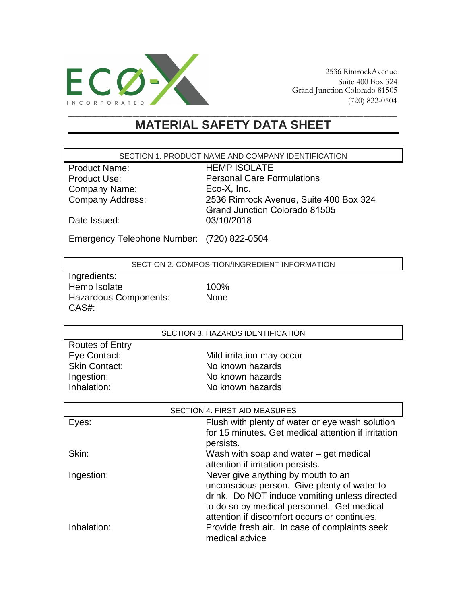

## **MATERIAL SAFETY DATA SHEET**

SECTION 1. PRODUCT NAME AND COMPANY IDENTIFICATION

Product Name: Product Use: Company Name: Company Address: HEMP ISOLATE Personal Care Formulations Eco-X, Inc. 2536 Rimrock Avenue, Suite 400 Box 324 Grand Junction Colorado 81505 03/10/2018

Date Issued:

Emergency Telephone Number: (720) 822-0504

SECTION 2. COMPOSITION/INGREDIENT INFORMATION

Ingredients: Hemp Isolate 100% Hazardous Components: None CAS#:

SECTION 3. HAZARDS IDENTIFICATION

| <b>Routes of Entry</b> |                           |
|------------------------|---------------------------|
| Eye Contact:           | Mild irritation may occur |
| <b>Skin Contact:</b>   | No known hazards          |
| Ingestion:             | No known hazards          |
| Inhalation:            | No known hazards          |
|                        |                           |

| SECTION 4. FIRST AID MEASURES |                                                                  |  |
|-------------------------------|------------------------------------------------------------------|--|
| Eyes:                         | Flush with plenty of water or eye wash solution                  |  |
|                               | for 15 minutes. Get medical attention if irritation<br>persists. |  |
| Skin:                         | Wash with soap and water $-$ get medical                         |  |
|                               | attention if irritation persists.                                |  |
| Ingestion:                    | Never give anything by mouth to an                               |  |
|                               | unconscious person. Give plenty of water to                      |  |
|                               | drink. Do NOT induce vomiting unless directed                    |  |
|                               | to do so by medical personnel. Get medical                       |  |
|                               | attention if discomfort occurs or continues.                     |  |
| Inhalation:                   | Provide fresh air. In case of complaints seek<br>medical advice  |  |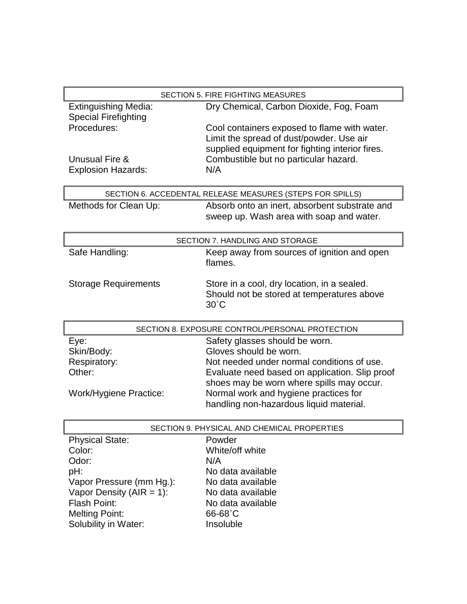|                                                 | SECTION 5. FIRE FIGHTING MEASURES                                                |  |
|-------------------------------------------------|----------------------------------------------------------------------------------|--|
| <b>Extinguishing Media:</b>                     | Dry Chemical, Carbon Dioxide, Fog, Foam                                          |  |
| <b>Special Firefighting</b>                     |                                                                                  |  |
| Procedures:                                     | Cool containers exposed to flame with water.                                     |  |
|                                                 | Limit the spread of dust/powder. Use air                                         |  |
|                                                 | supplied equipment for fighting interior fires.                                  |  |
| Unusual Fire &                                  | Combustible but no particular hazard.                                            |  |
| <b>Explosion Hazards:</b>                       | N/A                                                                              |  |
|                                                 | SECTION 6. ACCEDENTAL RELEASE MEASURES (STEPS FOR SPILLS)                        |  |
| Methods for Clean Up:                           | Absorb onto an inert, absorbent substrate and                                    |  |
|                                                 | sweep up. Wash area with soap and water.                                         |  |
|                                                 |                                                                                  |  |
| SECTION 7. HANDLING AND STORAGE                 |                                                                                  |  |
| Safe Handling:                                  | Keep away from sources of ignition and open                                      |  |
|                                                 | flames.                                                                          |  |
| <b>Storage Requirements</b>                     | Store in a cool, dry location, in a sealed.                                      |  |
|                                                 | Should not be stored at temperatures above                                       |  |
|                                                 | $30^{\circ}$ C                                                                   |  |
|                                                 |                                                                                  |  |
|                                                 | SECTION 8. EXPOSURE CONTROL/PERSONAL PROTECTION                                  |  |
| Eye:                                            | Safety glasses should be worn.                                                   |  |
| Skin/Body:                                      | Gloves should be worn.                                                           |  |
| Respiratory:                                    | Not needed under normal conditions of use.                                       |  |
| Other:                                          | Evaluate need based on application. Slip proof                                   |  |
|                                                 | shoes may be worn where spills may occur.                                        |  |
| Work/Hygiene Practice:                          | Normal work and hygiene practices for<br>handling non-hazardous liquid material. |  |
|                                                 |                                                                                  |  |
| SECTION 9. PHYSICAL AND CHEMICAL PROPERTIES     |                                                                                  |  |
| <b>Physical State:</b>                          | Powder                                                                           |  |
| Color:                                          | White/off white                                                                  |  |
| Odor:                                           | N/A                                                                              |  |
| pH:                                             | No data available                                                                |  |
| Vapor Pressure (mm Hg.):                        | No data available                                                                |  |
| Vapor Density (AIR = 1):<br><b>Flash Point:</b> | No data available<br>No data available                                           |  |
| <b>Melting Point:</b>                           | 66-68°C                                                                          |  |
| Solubility in Water:                            | Insoluble                                                                        |  |
|                                                 |                                                                                  |  |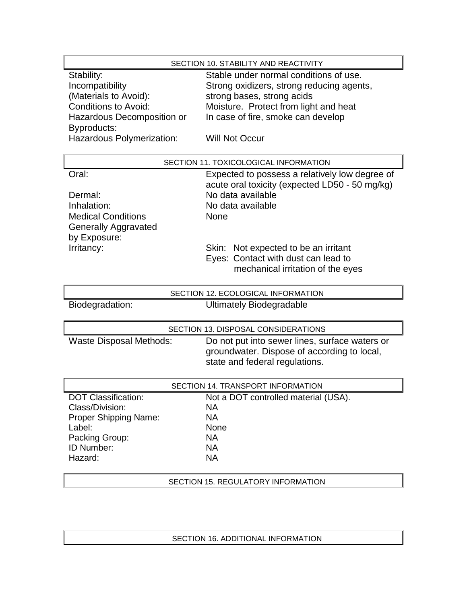## SECTION 10. STABILITY AND REACTIVITY Stability:<br>
Stable under normal conditions of use.<br>
Incompatibility<br>
Strong oxidizers, strong reducing agent Incompatibility Strong oxidizers, strong reducing agents,<br>
(Materials to Avoid): strong bases, strong acids strong bases, strong acids Conditions to Avoid: Moisture. Protect from light and heat Hazardous Decomposition or In case of fire, smoke can develop Byproducts: Hazardous Polymerization: Will Not Occur

| SECTION 11. TOXICOLOGICAL INFORMATION |                                                                                                  |
|---------------------------------------|--------------------------------------------------------------------------------------------------|
| Oral:                                 | Expected to possess a relatively low degree of<br>acute oral toxicity (expected LD50 - 50 mg/kg) |
| Dermal:                               | No data available                                                                                |
| Inhalation:                           | No data available                                                                                |
| <b>Medical Conditions</b>             | None                                                                                             |
| <b>Generally Aggravated</b>           |                                                                                                  |
| by Exposure:                          |                                                                                                  |
| Irritancy:                            | Skin: Not expected to be an irritant                                                             |
|                                       | Eyes: Contact with dust can lead to<br>mechanical irritation of the eyes                         |

| SECTION 12. ECOLOGICAL INFORMATION  |                                                                                                                                 |  |
|-------------------------------------|---------------------------------------------------------------------------------------------------------------------------------|--|
| Biodegradation:                     | <b>Ultimately Biodegradable</b>                                                                                                 |  |
|                                     |                                                                                                                                 |  |
| SECTION 13. DISPOSAL CONSIDERATIONS |                                                                                                                                 |  |
| <b>Waste Disposal Methods:</b>      | Do not put into sewer lines, surface waters or<br>groundwater. Dispose of according to local,<br>state and federal regulations. |  |
| SECTION 14. TRANSPORT INFORMATION   |                                                                                                                                 |  |
| <b>DOT Classification:</b>          | Not a DOT controlled material (USA).                                                                                            |  |
| Class/Division:                     | <b>NA</b>                                                                                                                       |  |
| <b>Proper Shipping Name:</b>        | <b>NA</b>                                                                                                                       |  |
| Label:                              | <b>None</b>                                                                                                                     |  |
| Packing Group:                      | <b>NA</b>                                                                                                                       |  |

ID Number: NA Hazard: NA

## SECTION 15. REGULATORY INFORMATION

## SECTION 16. ADDITIONAL INFORMATION